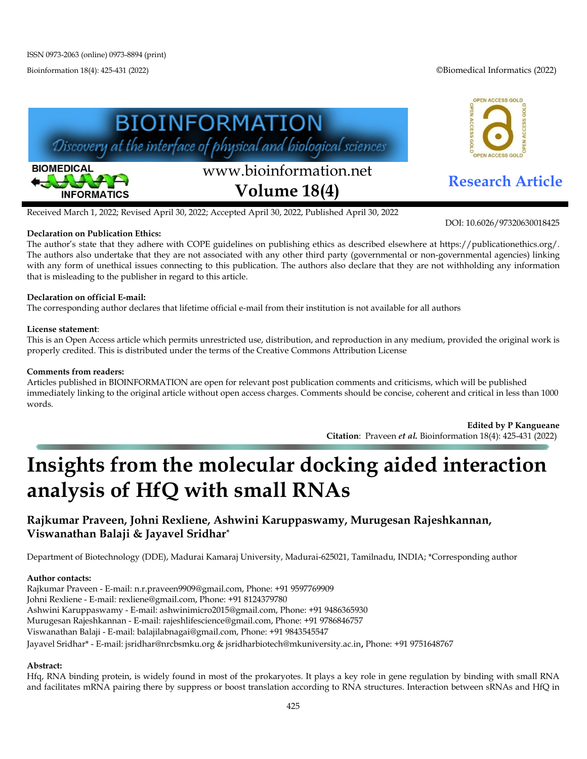Bioinformation 18(4): 425-431 (2022) ©Biomedical Informatics (2022)

OPEN ACCESS GOLD

DOI: 10.6026/97320630018425



Received March 1, 2022; Revised April 30, 2022; Accepted April 30, 2022, Published April 30, 2022

#### **Declaration on Publication Ethics:**

The author's state that they adhere with COPE guidelines on publishing ethics as described elsewhere at https://publicationethics.org/. The authors also undertake that they are not associated with any other third party (governmental or non-governmental agencies) linking with any form of unethical issues connecting to this publication. The authors also declare that they are not withholding any information that is misleading to the publisher in regard to this article.

# **Declaration on official E-mail:**

The corresponding author declares that lifetime official e-mail from their institution is not available for all authors

# **License statement**:

This is an Open Access article which permits unrestricted use, distribution, and reproduction in any medium, provided the original work is properly credited. This is distributed under the terms of the Creative Commons Attribution License

# **Comments from readers:**

Articles published in BIOINFORMATION are open for relevant post publication comments and criticisms, which will be published immediately linking to the original article without open access charges. Comments should be concise, coherent and critical in less than 1000 words.

> **Edited by P Kangueane Citation**: Praveen *et al.* Bioinformation 18(4): 425-431 (2022)

# **Insights from the molecular docking aided interaction analysis of HfQ with small RNAs**

# **Rajkumar Praveen, Johni Rexliene, Ashwini Karuppaswamy, Murugesan Rajeshkannan, Viswanathan Balaji & Jayavel Sridhar\***

Department of Biotechnology (DDE), Madurai Kamaraj University, Madurai-625021, Tamilnadu, INDIA; \*Corresponding author

# **Author contacts:**

Rajkumar Praveen - E-mail: n.r.praveen9909@gmail.com, Phone: +91 9597769909

Johni Rexliene - E-mail: rexliene@gmail.com, Phone: +91 8124379780

Ashwini Karuppaswamy - E-mail: ashwinimicro2015@gmail.com, Phone: +91 9486365930

Murugesan Rajeshkannan - E-mail: rajeshlifescience@gmail.com, Phone: +91 9786846757

Viswanathan Balaji - E-mail: balajilabnagai@gmail.com, Phone: +91 9843545547

Jayavel Sridhar\* - E-mail: jsridhar@nrcbsmku.org & jsridharbiotech@mkuniversity.ac.in, Phone: +91 9751648767

# **Abstract:**

Hfq, RNA binding protein, is widely found in most of the prokaryotes. It plays a key role in gene regulation by binding with small RNA and facilitates mRNA pairing there by suppress or boost translation according to RNA structures. Interaction between sRNAs and HfQ in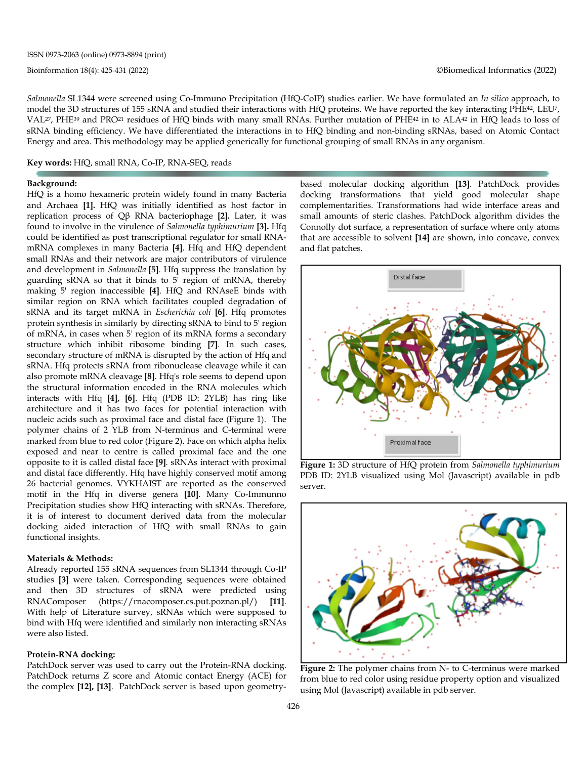*Salmonella* SL1344 were screened using Co-Immuno Precipitation (HfQ-CoIP) studies earlier. We have formulated an *In silico* approach, to model the 3D structures of 155 sRNA and studied their interactions with HfQ proteins. We have reported the key interacting PHE42, LEU7, VAL27, PHE39 and PRO21 residues of HfQ binds with many small RNAs. Further mutation of PHE42 in to ALA42 in HfQ leads to loss of sRNA binding efficiency. We have differentiated the interactions in to HfQ binding and non-binding sRNAs, based on Atomic Contact Energy and area. This methodology may be applied generically for functional grouping of small RNAs in any organism.

# **Key words:** HfQ, small RNA, Co-IP, RNA-SEQ, reads

#### **Background:**

HfQ is a homo hexameric protein widely found in many Bacteria and Archaea **[1].** HfQ was initially identified as host factor in replication process of Qβ RNA bacteriophage **[2].** Later, it was found to involve in the virulence of *Salmonella typhimurium* **[3].** Hfq could be identified as post transcriptional regulator for small RNAmRNA complexes in many Bacteria **[4]**. Hfq and HfQ dependent small RNAs and their network are major contributors of virulence and development in *Salmonella* **[5]**. Hfq suppress the translation by guarding sRNA so that it binds to 5' region of mRNA, thereby making 5' region inaccessible **[4]**. HfQ and RNAseE binds with similar region on RNA which facilitates coupled degradation of sRNA and its target mRNA in *Escherichia coli* **[6]**. Hfq promotes protein synthesis in similarly by directing sRNA to bind to 5' region of mRNA, in cases when 5' region of its mRNA forms a secondary structure which inhibit ribosome binding **[7]**. In such cases, secondary structure of mRNA is disrupted by the action of Hfq and sRNA. Hfq protects sRNA from ribonuclease cleavage while it can also promote mRNA cleavage **[8]**. Hfq's role seems to depend upon the structural information encoded in the RNA molecules which interacts with Hfq **[4], [6]**. Hfq (PDB ID: 2YLB) has ring like architecture and it has two faces for potential interaction with nucleic acids such as proximal face and distal face (Figure 1). The polymer chains of 2 YLB from N-terminus and C-terminal were marked from blue to red color (Figure 2). Face on which alpha helix exposed and near to centre is called proximal face and the one opposite to it is called distal face **[9]**. sRNAs interact with proximal and distal face differently. Hfq have highly conserved motif among 26 bacterial genomes. VYKHAIST are reported as the conserved motif in the Hfq in diverse genera **[10]**. Many Co-Immunno Precipitation studies show HfQ interacting with sRNAs. Therefore, it is of interest to document derived data from the molecular docking aided interaction of HfQ with small RNAs to gain functional insights.

#### **Materials & Methods:**

Already reported 155 sRNA sequences from SL1344 through Co-IP studies **[3]** were taken. Corresponding sequences were obtained and then 3D structures of sRNA were predicted using RNAComposer (https://rnacomposer.cs.put.poznan.pl/) **[11]**. With help of Literature survey, sRNAs which were supposed to bind with Hfq were identified and similarly non interacting sRNAs were also listed.

#### **Protein-RNA docking:**

PatchDock server was used to carry out the Protein-RNA docking. PatchDock returns Z score and Atomic contact Energy (ACE) for the complex **[12], [13]**. PatchDock server is based upon geometrybased molecular docking algorithm **[13]**. PatchDock provides docking transformations that yield good molecular shape complementarities. Transformations had wide interface areas and small amounts of steric clashes. PatchDock algorithm divides the Connolly dot surface, a representation of surface where only atoms that are accessible to solvent **[14]** are shown, into concave, convex and flat patches.



**Figure 1:** 3D structure of HfQ protein from *Salmonella typhimurium* PDB ID: 2YLB visualized using Mol (Javascript) available in pdb server.



**Figure 2:** The polymer chains from N- to C-terminus were marked from blue to red color using residue property option and visualized using Mol (Javascript) available in pdb server.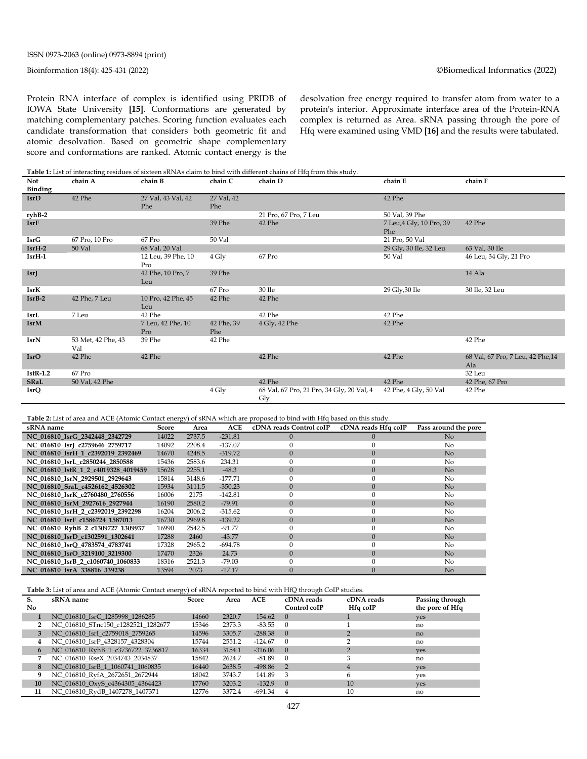Protein RNA interface of complex is identified using PRIDB of IOWA State University **[15]**. Conformations are generated by matching complementary patches. Scoring function evaluates each candidate transformation that considers both geometric fit and atomic desolvation. Based on geometric shape complementary score and conformations are ranked. Atomic contact energy is the desolvation free energy required to transfer atom from water to a protein's interior. Approximate interface area of the Protein-RNA complex is returned as Area. sRNA passing through the pore of Hfq were examined using VMD **[16]** and the results were tabulated.

**Table 1:** List of interacting residues of sixteen sRNAs claim to bind with different chains of Hfq from this study.

| Not<br>Binding | chain A                   | chain B                   | chain C           | chain D                                          | chain E                         | chain F                                  |
|----------------|---------------------------|---------------------------|-------------------|--------------------------------------------------|---------------------------------|------------------------------------------|
| IsrD           | 42 Phe                    | 27 Val, 43 Val, 42<br>Phe | 27 Val, 42<br>Phe |                                                  | 42 Phe                          |                                          |
| ryhB-2         |                           |                           |                   | 21 Pro, 67 Pro, 7 Leu                            | 50 Val, 39 Phe                  |                                          |
| <b>IsrF</b>    |                           |                           | 39 Phe            | 42 Phe                                           | 7 Leu, 4 Gly, 10 Pro, 39<br>Phe | 42 Phe                                   |
| IsrG           | 67 Pro, 10 Pro            | 67 Pro                    | 50 Val            |                                                  | 21 Pro, 50 Val                  |                                          |
| $IsrH-2$       | 50 Val                    | 68 Val, 20 Val            |                   |                                                  | 29 Gly, 30 Ile, 32 Leu          | 63 Val, 30 Ile                           |
| $IsrH-1$       |                           | 12 Leu, 39 Phe, 10<br>Pro | 4 Gly             | 67 Pro                                           | 50 Val                          | 46 Leu, 34 Gly, 21 Pro                   |
| <b>IsrJ</b>    |                           | 42 Phe, 10 Pro, 7<br>Leu  | 39 Phe            |                                                  |                                 | 14 Ala                                   |
| <b>IsrK</b>    |                           |                           | 67 Pro            | 30 Ile                                           | 29 Gly, 30 Ile                  | 30 Ile, 32 Leu                           |
| $IsrB-2$       | 42 Phe, 7 Leu             | 10 Pro, 42 Phe, 45<br>Leu | 42 Phe            | 42 Phe                                           |                                 |                                          |
| IsrL           | 7 Leu                     | 42 Phe                    |                   | 42 Phe                                           | 42 Phe                          |                                          |
| IsrM           |                           | 7 Leu, 42 Phe, 10<br>Pro  | 42 Phe, 39<br>Phe | 4 Gly, 42 Phe                                    | 42 Phe                          |                                          |
| IsrN           | 53 Met, 42 Phe, 43<br>Val | 39 Phe                    | 42 Phe            |                                                  |                                 | 42 Phe                                   |
| <b>IsrO</b>    | 42 Phe                    | 42 Phe                    |                   | 42 Phe                                           | 42 Phe                          | 68 Val, 67 Pro, 7 Leu, 42 Phe, 14<br>Ala |
| $IstR-1.2$     | 67 Pro                    |                           |                   |                                                  |                                 | 32 Leu                                   |
| <b>SRaL</b>    | 50 Val, 42 Phe            |                           |                   | 42 Phe                                           | 42 Phe                          | 42 Phe, 67 Pro                           |
| IsrQ           |                           |                           | 4 Gly             | 68 Val, 67 Pro, 21 Pro, 34 Gly, 20 Val, 4<br>Gly | 42 Phe, 4 Gly, 50 Val           | 42 Phe                                   |

**Table 2:** List of area and ACE (Atomic Contact energy) of sRNA which are proposed to bind with Hfq based on this study.

| sRNA name                           | Score | Area   | ACE       | cDNA reads Control coIP | cDNA reads Hfa coIP | Pass around the pore |
|-------------------------------------|-------|--------|-----------|-------------------------|---------------------|----------------------|
| NC 016810 IsrG 2342448 2342729      | 14022 | 2737.5 | $-231.81$ | $\Omega$                | $\left($            | No                   |
| NC 016810 IsrI c2759646 2759717     | 14092 | 2208.4 | $-137.07$ | 0                       |                     | No.                  |
| NC 016810 IsrH 1 c2392019 2392469   | 14670 | 4248.5 | $-319.72$ | $\Omega$                | $\Omega$            | No                   |
| NC_016810_IsrL_c2850244_2850588     | 15436 | 2583.6 | 234.31    | 0                       | $\Omega$            | No.                  |
| NC 016810 IstR 1 2 c4019328 4019459 | 15628 | 2255.1 | $-48.3$   | $\Omega$                | $\Omega$            | No                   |
| NC 016810 IsrN 2929501 2929643      | 15814 | 3148.6 | $-177.71$ | $\Omega$                | $\Omega$            | No.                  |
| NC 016810 SraL c4526162 4526302     | 15934 | 3111.5 | $-350.23$ | $\Omega$                | $\Omega$            | No                   |
| NC 016810 IsrK c2760480 2760556     | 16006 | 2175   | $-142.81$ | $\Omega$                | $\Omega$            | No                   |
| NC 016810 IsrM 2927616 2927944      | 16190 | 2580.2 | $-79.91$  | $\Omega$                | $\Omega$            | No                   |
| NC 016810 IsrH 2 c2392019 2392298   | 16204 | 2006.2 | $-315.62$ |                         | $\Omega$            | No                   |
| NC 016810 IsrF c1586724 1587013     | 16730 | 2969.8 | $-139.22$ | $\Omega$                | $\Omega$            | No                   |
| NC 016810 RyhB 2 c1309727 1309937   | 16990 | 2542.5 | $-91.77$  |                         | $\Omega$            | No                   |
| NC 016810 IsrD c1302591 1302641     | 17288 | 2460   | $-43.77$  | $\Omega$                | $\Omega$            | No                   |
| NC 016810 IsrO 4783574 4783741      | 17328 | 2965.2 | $-694.78$ |                         | $\Omega$            | No                   |
| NC 016810 IsrO 3219100 3219300      | 17470 | 2326   | 24.73     | $\Omega$                | $\Omega$            | No                   |
| NC 016810 IsrB 2 c1060740 1060833   | 18316 | 2521.3 | $-79.03$  |                         |                     | N <sub>0</sub>       |
| NC 016810 IsrA 338816 339238        | 13594 | 2073   | $-17.17$  | $\Omega$                | $\Omega$            | N <sub>o</sub>       |

**Table 3:** List of area and ACE (Atomic Contact energy) of sRNA reported to bind with HfQ through CoIP studies.

| S.           | sRNA name                          | Score | Area   | <b>ACE</b>  | cDNA reads       | cDNA reads | Passing through |
|--------------|------------------------------------|-------|--------|-------------|------------------|------------|-----------------|
| No.          |                                    |       |        |             | Control coIP     | Hfg coIP   | the pore of Hfq |
|              | NC 016810 IsrC 1285998 1286285     | 14660 | 2320.7 | 154.62      | $\left( \right)$ |            | ves             |
| $\mathbf{2}$ | NC 016810 STnc150 c1282521 1282677 | 15346 | 2373.3 | $-83.55$    |                  |            | no              |
| 3            | NC 016810 IsrI c2759018 2759265    | 14596 | 3305.7 | $-288.38$   | $\overline{0}$   |            | no              |
| 4            | NC 016810 IsrP 4328157 4328304     | 15744 | 2551.2 | $-124.67$   |                  |            | no              |
| 6            | NC 016810 RyhB 1 c3736722 3736817  | 16334 | 3154.1 | $-316.06$   | $\Omega$         |            | ves             |
|              | NC 016810 RseX 2034743 2034837     | 15842 | 2624.7 | $-81.89$    |                  |            | no              |
| 8            | NC 016810 IsrB 1 1060741 1060835   | 16440 | 2638.5 | $-498.86$ 2 |                  |            | ves             |
| 9            | NC_016810_RyfA_2672651_2672944     | 18042 | 3743.7 | 141.89      | 3                | h          | ves             |
| 10           | NC 016810 OxyS c4364305 4364423    | 17760 | 3203.2 | $-132.9$    | $\Omega$         | 10         | ves             |
| 11           | NC 016810 RydB 1407278 1407371     | 12776 | 3372.4 | -691.34     |                  | 10         | no              |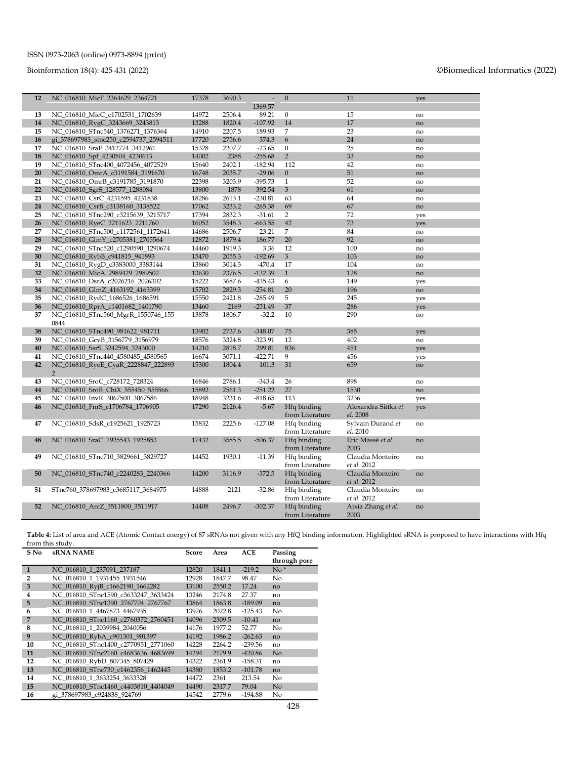# Bioinformation 18(4): 425-431 (2022) ©Biomedical Informatics (2022)

| 12 | NC_016810_MicF_2364629_2364721                       | 17378 | 3690.3 |           | $\mathbf{0}$                   | 11                              | yes |
|----|------------------------------------------------------|-------|--------|-----------|--------------------------------|---------------------------------|-----|
|    |                                                      |       |        | 1369.57   |                                |                                 |     |
| 13 | NC_016810_MicC_c1702531_1702639                      | 14972 | 2506.4 | 89.21     | $\boldsymbol{0}$               | 15                              | no  |
| 14 | NC_016810_RygC_3243669_3243813                       | 13288 | 1820.4 | $-107.92$ | 14                             | 17                              | no  |
| 15 | NC_016810_STnc540_1376271_1376364                    | 14910 | 2207.5 | 189.93    | $\overline{7}$                 | 23                              | no  |
| 16 | gi_378697983_stnc250_c2594737_2594511                | 17720 | 2756.6 | 374.3     | 6                              | 24                              | no  |
| 17 | NC 016810 SraF 3412774 3412961                       | 15328 | 2207.7 | $-23.65$  | $\overline{0}$                 | 25                              | no  |
| 18 | NC 016810 Spf 4230504 4230613                        | 14002 | 2388   | $-255.68$ | $\overline{2}$                 | 33                              | no  |
| 19 | NC 016810 STnc400 4072456 4072529                    | 15640 | 2402.1 | $-182.94$ | 112                            | 42                              | no  |
| 20 | NC_016810_OmrA_c3191584_3191670                      | 16748 | 2035.7 | $-29.06$  | $\mathbf{0}$                   | 51                              | no  |
| 21 | NC 016810 OmrB c3191785 3191870                      | 22398 | 3203.9 | $-395.73$ | $\mathbf{1}$                   | 52                              | no  |
| 22 | NC_016810_SgrS_128577_1288084                        | 13800 | 1878   | 392.54    | 3                              | 61                              | no  |
| 23 | NC_016810_CsrC_4231595_4231838                       | 18286 | 2613.1 | $-230.81$ | 63                             | 64                              | no  |
| 24 | NC_016810_CsrB_c3138160_3138522                      | 17062 | 3233.2 | $-265.38$ | 69                             | 67                              | no  |
| 25 | NC_016810_STnc290_c3215639_3215717                   | 17394 | 2832.3 | $-31.61$  | $\overline{2}$                 | 72                              | yes |
| 26 | NC_016810_RyeC_2211623_2211760                       | 16052 | 3548.3 | $-663.55$ | 42                             | 73                              | yes |
| 27 | NC_016810_STnc500_c1172561_1172641                   | 14686 | 2506.7 | 23.21     | 7                              | 84                              | no  |
| 28 | NC 016810 GlmY c2705381 2705564                      | 12872 | 1879.4 | 186.77    | 20                             | 92                              | no  |
| 29 | NC_016810_STnc520_c1290590_1290674                   | 14460 | 1919.3 | 3.36      | 12                             | 100                             | no  |
| 30 | NC_016810_RybB_c941815_941893                        | 15470 | 2055.3 | $-192.69$ | 3                              | 103                             | no  |
| 31 | NC_016810_RygD_c3383000_3383144                      | 13860 | 3014.3 | $-470.4$  | 17                             | 104                             | no  |
| 32 | NC_016810_MicA_2989429_2989502                       | 13630 | 2376.5 | $-132.39$ | $\mathbf{1}$                   | 128                             | no  |
| 33 | NC_016810_DsrA_c2026216_2026302                      | 15222 | 3687.6 | $-435.43$ | 6                              | 149                             | yes |
| 34 | NC 016810 GlmZ 4163192 4163399                       | 15702 | 2829.3 | $-254.81$ | 20                             | 196                             | no  |
| 35 | NC_016810_RydC_1686526_1686591                       | 15550 | 2421.8 | $-285.49$ | 5                              | 245                             | yes |
| 36 | NC_016810_RprA_c1401682_1401790                      | 13460 | 2169   | $-251.49$ | 37                             | 286                             | ves |
| 37 | NC_016810_STnc560_MgrR_1550746_155<br>0844           | 13878 | 1806.7 | $-32.2$   | 10                             | 290                             | no  |
| 38 | NC 016810 STnc490 981622 981711                      | 13902 | 2737.6 | $-348.07$ | 75                             | 385                             | yes |
| 39 | NC_016810_GcvB_3156779_3156979                       | 18576 | 3324.8 | $-323.91$ | 12                             | 402                             | no  |
| 40 | NC_016810_SsrS_3242594_3243000                       | 14210 | 2818.7 | 299.81    | 836                            | 451                             | yes |
| 41 | NC 016810 STnc440 4580485 4580565                    | 16674 | 3071.1 | $-422.71$ | 9                              | 456                             | yes |
| 42 | NC_016810_RyeE_CyaR_2228847_222893<br>$\overline{2}$ | 15300 | 1804.4 | 101.3     | 31                             | 659                             | no  |
| 43 | NC 016810 SroC c728172 728324                        | 16846 | 2786.1 | $-343.4$  | 26                             | 898                             | no  |
| 44 | NC 016810 SroB ChiX 555450 555566.                   | 15892 | 2561.3 | $-251.22$ | 27                             | 1530                            | no  |
| 45 | NC_016810_InvR_3067500_3067586                       | 18948 | 3231.6 | $-818.65$ | 113                            | 3236                            | yes |
| 46 | NC_016810_FnrS_c1706784_1706905                      | 17290 | 2126.4 | $-5.67$   | Hfg binding<br>from Literature | Alexandra Sittka et<br>al. 2008 | yes |
| 47 | NC_016810_SdsR_c1925621_1925723                      | 15832 | 2225.6 | $-127.08$ | Hfq binding                    | Sylvain Durand et               | no  |
| 48 | NC 016810 SraC 1925543 1925853                       | 17432 | 3585.5 | $-506.37$ | from Literature<br>Hfq binding | al. 2010<br>Eric Massé et al.   | no  |
|    |                                                      |       |        |           | from Literature                | 2003                            |     |
| 49 | NC_016810_STnc710_3829661_3829727                    | 14452 | 1930.1 | $-11.39$  | Hfq binding<br>from Literature | Claudia Monteiro<br>et al. 2012 | no  |
| 50 | NC_016810_STnc740_c2240283_2240366                   | 14200 | 3116.9 | $-372.5$  | Hfq binding                    | Claudia Monteiro                | no  |
| 51 | STnc760 378697983 c3685117 3684975                   | 14888 | 2121   | $-32.86$  | from Literature<br>Hfq binding | et al. 2012<br>Claudia Monteiro | no  |
|    |                                                      |       |        |           | from Literature                | et al. 2012                     |     |
| 52 | NC_016810_ArcZ_3511800_3511917                       | 14408 | 2496.7 | $-302.37$ | Hfq binding<br>from Literature | Aixia Zhang et al.<br>2003      | no  |

**Table 4:** List of area and ACE (Atomic Contact energy) of 87 sRNAs not given with any HfQ binding information. Highlighted sRNA is proposed to have interactions with Hfq from this study.

| S No           | <b>sRNA NAME</b>                    | Score | Area   | ACE       | Passing        |
|----------------|-------------------------------------|-------|--------|-----------|----------------|
|                |                                     |       |        |           | through pore   |
| 1              | NC 016810 1 237091 237187           | 12820 | 1841.1 | $-219.2$  | $No*$          |
| $\overline{2}$ | NC 016810 1 1931455 1931546         | 12928 | 1847.7 | 98.47     | No             |
| 3              | NC 016810 RyjB c1662190 1662282     | 13100 | 2550.2 | 17.24     | no             |
| 4              | NC 016810 STnc1590 c3633247 3633424 | 13246 | 2174.8 | 27.37     | no             |
| 5              | NC 016810 STnc1390 2767704 2767767  | 13864 | 1863.8 | $-189.09$ | no             |
| 6              | NC 016810 1 4467873 4467935         | 13976 | 2022.8 | $-125.43$ | No             |
| 7              | NC 016810 STnc1160 c2760372 2760451 | 14096 | 2309.5 | $-10.41$  | no             |
| 8              | NC 016810 1 2039984 2040056         | 14176 | 1977.2 | 52.77     | No             |
| 9              | NC 016810 RybA c901301 901397       | 14192 | 1986.2 | $-262.63$ | no             |
| 10             | NC 016810 STnc1400 c2770951 2771060 | 14228 | 2264.2 | $-239.56$ | no             |
| 11             | NC 016810 STnc2160 c4683636 4683699 | 14294 | 2179.9 | $-420.86$ | No             |
| 12             | NC_016810_RybD_807345_807429        | 14322 | 2361.9 | $-158.31$ | no             |
| 13             | NC 016810 STnc730 c1462356 1462445  | 14380 | 1853.2 | $-101.78$ | no             |
| 14             | NC 016810 1 3633254 3633328         | 14472 | 2361   | 213.54    | N <sub>o</sub> |
| 15             | NC_016810_STnc1460_c4403810_4404049 | 14490 | 2317.7 | 79.04     | N <sub>o</sub> |
| 16             | gi 378697983 c924838 924769         | 14542 | 2779.6 | $-194.88$ | N <sub>0</sub> |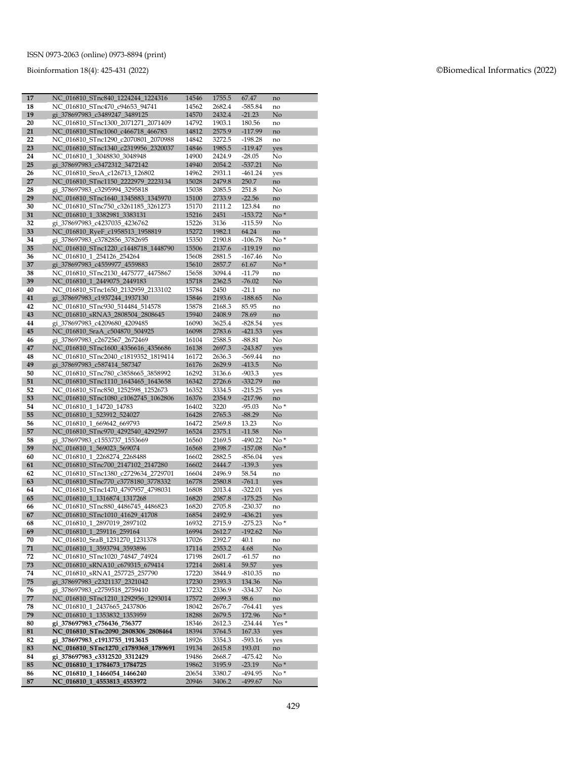Bioinformation 18(4): 425 -431 (2022 )

| 17       | NC_016810_STnc840_1224244_1224316                                        | 14546          | 1755.5           | 67.47                 | no        |
|----------|--------------------------------------------------------------------------|----------------|------------------|-----------------------|-----------|
| 18       | NC_016810_STnc470_c94653_94741                                           | 14562          | 2682.4           | $-585.84$             | no        |
| 19       | gi_378697983_c3489247_3489125                                            | 14570          | 2432.4           | $-21.23$              | No        |
| 20       | NC_016810_STnc1300_2071271_2071409                                       | 14792          | 1903.1           | 180.56                | no        |
| 21       | NC_016810_STnc1060_c466718_466783                                        | 14812          | 2575.9           | $-117.99$             | no        |
| 22       | NC 016810 STnc1290 c2070801 2070988                                      | 14842          | 3272.5           | $-198.28$             | no        |
| 23       | NC_016810_STnc1340_c2319956_2320037                                      | 14846          | 1985.5           | $-119.47$             | yes       |
| 24       | NC 016810 1 3048830 3048948                                              | 14900          | 2424.9           | $-28.05$              | No        |
| 25       | gi_378697983_c3472312_3472142                                            | 14940          | 2054.2           | $-537.21$             | No        |
| 26       | NC_016810_SroA_c126713_126802                                            | 14962          | 2931.1           | $-461.24$             | yes       |
| 27<br>28 | NC_016810_STnc1150_2222979_2223134<br>gi_378697983_c3295994_3295818      | 15028<br>15038 | 2479.8<br>2085.5 | 250.7<br>251.8        | no<br>No  |
| 29       | NC 016810 STnc1640 1345883 1345970                                       | 15100          | 2733.9           | $-22.56$              | no        |
| 30       | NC_016810_STnc750_c3261185_3261273                                       | 15170          | 2111.2           | 123.84                | no        |
| 31       | NC_016810_1_3382981_3383131                                              | 15216          | 2451             | $-153.72$             | $No*$     |
| 32       | gi_378697983_c4237035_4236762                                            | 15226          | 3136             | $-115.59$             | No        |
| 33       | NC_016810_RyeF_c1958513_1958819                                          | 15272          | 1982.1           | 64.24                 | no        |
| 34       | gi_378697983_c3782856_3782695                                            | 15350          | 2190.8           | $-106.78$             | $No*$     |
| 35       | NC_016810_STnc1220_c1448718_1448790                                      | 15506          | 2137.6           | $-119.19$             | no        |
| 36       | NC_016810_1_254126_254264                                                | 15608          | 2881.5           | $-167.46$             | No        |
| 37       | gi_378697983_c4559977_4559883                                            | 15610          | 2857.7           | 61.67                 | $No*$     |
| 38       | NC 016810 STnc2130 4475777 4475867                                       | 15658          | 3094.4           | $-11.79$              | no        |
| 39       | NC_016810_1_2449075_2449183                                              | 15718          | 2362.5           | $-76.02$              | No        |
| 40       | NC 016810 STnc1650 2132959 2133102                                       | 15784          | 2450             | $-21.1$               | no        |
| 41       | gi_378697983_c1937244_1937130                                            | 15846          | 2193.6           | $-188.65$             | No        |
| 42       | NC 016810 STnc930 514484 514578                                          | 15878          | 2168.3           | 85.95                 | no        |
| 43       | NC 016810 sRNA3 2808504 2808645                                          | 15940          | 2408.9           | 78.69                 | no        |
| 44       | gi 378697983_c4209680_4209485                                            | 16090          | 3625.4           | $-828.54$             | yes       |
| 45       | NC_016810_SraA_c504870_504925                                            | 16098          | 2783.6           | $-421.53$             | yes       |
| 46<br>47 | gi_378697983_c2672567_2672469<br>NC_016810_STnc1600_4356616_4356686      | 16104<br>16138 | 2588.5<br>2697.3 | $-88.81$<br>$-243.87$ | No        |
| 48       | NC_016810_STnc2040_c1819352_1819414                                      | 16172          | 2636.3           | $-569.44$             | yes<br>no |
| 49       | gi 378697983 c587414 587347                                              | 16176          | 2629.9           | $-413.5$              | No        |
| 50       | NC_016810_STnc780_c3858665_3858992                                       | 16292          | 3136.6           | $-903.3$              | yes       |
| 51       | NC_016810_STnc1110_1643465_1643658                                       | 16342          | 2726.6           | $-332.79$             | no        |
| 52       | NC_016810_STnc850_1252598_1252673                                        | 16352          | 3334.5           | $-215.25$             | yes       |
| 53       | NC_016810_STnc1080_c1062745_1062806                                      | 16376          | 2354.9           | $-217.96$             | no        |
| 54       | NC_016810_1_14720_14783                                                  | 16402          | 3220             | $-95.03$              | $No*$     |
| 55       | NC_016810_1_523912_524027                                                | 16428          | 2765.3           | $-88.29$              | No        |
| 56       | NC_016810_1_669642_669793                                                | 16472          | 2569.8           | 13.23                 | No        |
| 57       | NC_016810_STnc970_4292540_4292597                                        | 16524          | 2375.1           | $-11.58$              | No        |
| 58       | gi 378697983_c1553737_1553669                                            | 16560          | 2169.5           | $-490.22$             | $No*$     |
| 59       | NC_016810_1_569023_569074                                                | 16568          | 2398.7           | $-157.08$             | $No*$     |
| 60       | NC_016810_1_2268274_2268488                                              | 16602          | 2882.5<br>2444.7 | $-856.04$<br>$-139.3$ | yes       |
| 61<br>62 | NC_016810_STnc700_2147102_2147280<br>NC 016810 STnc1380 c2729634 2729701 | 16602<br>16604 | 2496.9           | 58.54                 | yes       |
| 63       | NC_016810_STnc770_c3778180_3778332                                       | 16778          | 2580.8           | $-761.1$              | no<br>yes |
| 64       | NC_016810_STnc1470_4797957_4798031                                       | 16808          | 2013.4           | $-322.01$             | yes       |
| 65       | NC_016810_1_1316874_1317268                                              | 16820          | 2587.8           | $-175.25$             | No        |
| 66       | NC_016810_STnc880_4486745_4486823                                        | 16820          | 2705.8           | $-230.37$             | no        |
| 67       | NC_016810_STnc1010_41629_41708                                           | 16854          | 2492.9           | $-436.21$             | yes       |
| 68       | NC_016810_1_2897019_2897102                                              | 16932          | 2715.9           | $-275.23$             | $No*$     |
| 69       | NC_016810_1_259116_259164                                                | 16994          | 2612.7           | $-192.62$             | No        |
| 70       | NC 016810 SraB 1231270 1231378                                           | 17026          | 2392.7           | 40.1                  | no        |
| 71       | NC 016810 1 3593794 3593896                                              | 17114          | 2553.2           | 4.68                  | No        |
| 72       | NC 016810 STnc1020 74847 74924                                           | 17198          | 2601.7           | $-61.57$              | no        |
| 73       | NC_016810_sRNA10_c679315_679414                                          | 17214          | 2681.4           | 59.57                 | yes       |
| 74       | NC_016810_sRNA1_257725_257790<br>gi 378697983 c2321137 2321042           | 17220          | 3844.9           | $-810.35$             | no        |
| 75<br>76 | gi_378697983_c2759518_2759410                                            | 17230<br>17232 | 2393.3<br>2336.9 | 134.36<br>$-334.37$   | No<br>No  |
| 77       | NC_016810_STnc1210_1292956_1293014                                       | 17572          | 2699.3           | 98.6                  | no        |
| 78       | NC 016810 1 2437665 2437806                                              | 18042          | 2676.7           | $-764.41$             | yes       |
| 79       | NC_016810_1_1353832_1353959                                              | 18288          | 2679.5           | 172.96                | $No*$     |
| 80       | gi_378697983_c756436_756377                                              | 18346          | 2612.3           | $-234.44$             | Yes *     |
| 81       | NC_016810_STnc2090_2808306_2808464                                       | 18394          | 3764.5           | 167.33                | yes       |
| 82       | gi_378697983_c1913755_1913615                                            | 18926          | 3354.3           | $-593.16$             | yes       |
| 83       | NC_016810_STnc1270_c1789368_1789691                                      | 19134          | 2615.8           | 193.01                | no        |
| 84       | gi_378697983_c3312520_3312429                                            | 19486          | 2668.7           | $-475.42$             | No        |
| 85       | NC_016810_1_1784673_1784725                                              | 19862          | 3195.9           | $-23.19$              | $No*$     |
| 86       | NC_016810_1_1466054_1466240                                              | 20654          | 3380.7           | $-494.95$             | $No*$     |
| 87       | NC_016810_1_4553813_4553972                                              | 20946          | 3406.2           | $-499.67$             | No.       |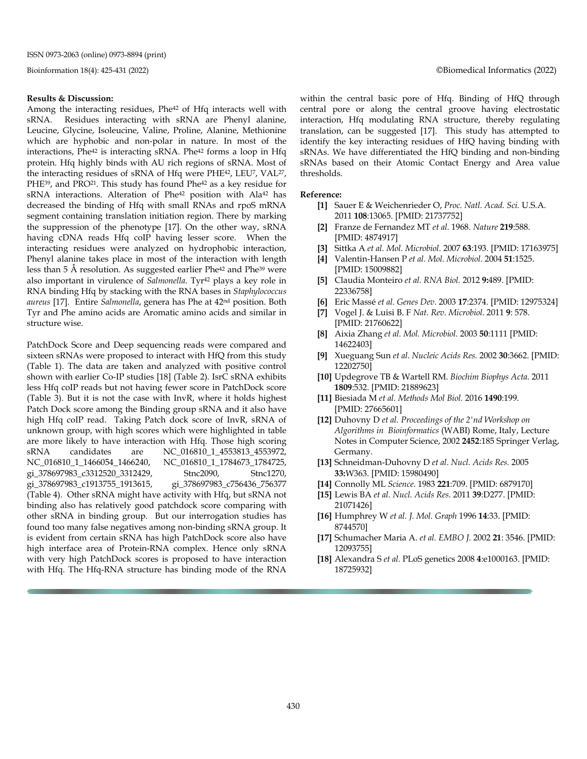#### **Results & Discussion:**

Among the interacting residues, Phe<sup>42</sup> of Hfq interacts well with sRNA. Residues interacting with sRNA are Phenyl alanine, Leucine, Glycine, Isoleucine, Valine, Proline, Alanine, Methionine which are hyphobic and non-polar in nature. In most of the interactions, Phe<sup>42</sup> is interacting sRNA. Phe<sup>42</sup> forms a loop in Hfq protein. Hfq highly binds with AU rich regions of sRNA. Most of the interacting residues of sRNA of Hfq were PHE42, LEU7, VAL27, PHE<sup>39</sup>, and PRO<sup>21</sup>. This study has found Phe<sup>42</sup> as a key residue for sRNA interactions. Alteration of Phe<sup>42</sup> position with Ala<sup>42</sup> has decreased the binding of Hfq with small RNAs and rpoS mRNA segment containing translation initiation region. There by marking the suppression of the phenotype [17]. On the other way, sRNA having cDNA reads Hfq coIP having lesser score. When the interacting residues were analyzed on hydrophobic interaction, Phenyl alanine takes place in most of the interaction with length less than 5 Å resolution. As suggested earlier Phe42 and Phe39 were also important in virulence of *Salmonella*. Tyr42 plays a key role in RNA binding Hfq by stacking with the RNA bases in *Staphylococcus aureus* [17]. Entire *Salmonella*, genera has Phe at 42nd position. Both Tyr and Phe amino acids are Aromatic amino acids and similar in structure wise.

PatchDock Score and Deep sequencing reads were compared and sixteen sRNAs were proposed to interact with HfQ from this study (Table 1). The data are taken and analyzed with positive control shown with earlier Co-IP studies [18] (Table 2). IsrC sRNA exhibits less Hfq coIP reads but not having fewer score in PatchDock score (Table 3). But it is not the case with InvR, where it holds highest Patch Dock score among the Binding group sRNA and it also have high Hfq coIP read. Taking Patch dock score of InvR, sRNA of unknown group, with high scores which were highlighted in table are more likely to have interaction with Hfq. Those high scoring sRNA candidates are NC\_016810\_1\_4553813\_4553972, NC\_016810\_1\_1466054\_1466240, NC\_016810\_1\_1784673\_1784725, gi\_378697983\_c3312520\_3312429, Stnc2090, Stnc1270,<br>gi\_378697983\_c1913755\_1913615, gi\_378697983\_c756436\_756377 gi\_378697983\_c1913755\_1913615, (Table 4). Other sRNA might have activity with Hfq, but sRNA not binding also has relatively good patchdock score comparing with other sRNA in binding group. But our interrogation studies has found too many false negatives among non-binding sRNA group. It is evident from certain sRNA has high PatchDock score also have high interface area of Protein-RNA complex. Hence only sRNA with very high PatchDock scores is proposed to have interaction with Hfq. The Hfq-RNA structure has binding mode of the RNA within the central basic pore of Hfq. Binding of HfQ through central pore or along the central groove having electrostatic interaction, Hfq modulating RNA structure, thereby regulating translation, can be suggested [17]. This study has attempted to identify the key interacting residues of HfQ having binding with sRNAs. We have differentiated the HfQ binding and non-binding sRNAs based on their Atomic Contact Energy and Area value thresholds.

#### **Reference:**

- **[1]** Sauer E & Weichenrieder O, *Proc. Natl. Acad. Sci.* U.S.A. 2011 **108**:13065. [PMID: 21737752]
- **[2]** Franze de Fernandez MT *et al.* 1968. *Nature* **219**:588. [PMID: 4874917]
- **[3]** Sittka A *et al. Mol. Microbiol*. 2007 **63**:193. [PMID: 17163975]
- **[4]** Valentin-Hansen P *et al. Mol. Microbiol*. 2004 **51**:1525. [PMID: 15009882]
- **[5]** Claudia Monteiro *et al. RNA Biol.* 2012 **9:**489. [PMID: 22336758]
- **[6]** Eric Massé *et al. Genes Dev.* 2003 **17**:2374. [PMID: 12975324]
- **[7]** Vogel J. & Luisi B. F *Nat. Rev. Microbiol*. 2011 **9**: 578. [PMID: 21760622]
- **[8]** Aixia Zhang *et al. Mol. Microbiol.* 2003 **50**:1111 [PMID: 14622403]
- **[9]** Xueguang Sun *et al. Nucleic Acids Res.* 2002 **30**:3662. [PMID: 12202750]
- **[10]** Updegrove TB & Wartell RM. *Biochim Biophys Acta.* 2011 **1809**:532. [PMID: 21889623]
- **[11]** Biesiada M *et al. Methods Mol Biol.* 2016 **1490**:199. [PMID: 27665601]
- **[12]** Duhovny D *et al. Proceedings of the 2'nd Workshop on Algorithms in Bioinformatics* (WABI) Rome, Italy, Lecture Notes in Computer Science, 2002 **2452**:185 Springer Verlag, Germany.
- **[13]** Schneidman-Duhovny D *et al. Nucl. Acids Res.* 2005 **33:**W363. [PMID: 15980490]
- **[14]** Connolly ML *Science*. 1983 **221**:709. [PMID: 6879170]
- **[15]** Lewis BA *et al. Nucl. Acids Res.* 2011 **39**:D277. [PMID: 21071426]
- **[16]** Humphrey W *et al. J. Mol. Graph* 1996 **14**:33. [PMID: 8744570]
- **[17]** Schumacher Maria A. *et al. EMBO J*. 2002 **21**: 3546. [PMID: 12093755]
- **[18]** Alexandra S *et al.* PLoS genetics 2008 **4**:e1000163. [PMID: 18725932]